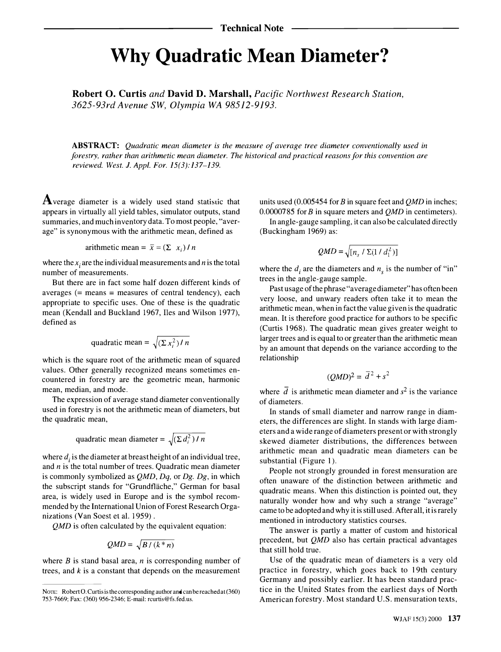## Why Quadratic Mean Diameter?

Robert 0. Curtis and David D. Marshall, Pacific Northwest Research Station, 3625-93rd Avenue SW, Olympia WA 98512-9193.

ABSTRACT: Quadratic mean diameter is the measure of average tree diameter conventionally used in forestry, rather than arithmetic mean diameter. The historical and practical reasons for this convention are reviewed. West. J. Appl. For. 15(3):137-139.

Average diameter is a widely used stand statistic that appears in virtually all yield tables, simulator outputs, stand summaries, and much inventory data. To most people, "average" is synonymous with the arithmetic mean, defined as

arithmetic mean = 
$$
\bar{x} = (\sum x_i) / n
$$

where the  $x_i$  are the individual measurements and n is the total number of measurements.

But there are in fact some half dozen different kinds of averages  $(=$  means  $=$  measures of central tendency), each appropriate to specific uses. One of these is the quadratic mean (Kendall and Buckland 1967, Iles and Wilson 1977), defined as

quadratic mean = 
$$
\sqrt{\left(\sum x_i^2\right) / n}
$$

which is the square root of the arithmetic mean of squared values. Other generally recognized means sometimes encountered in forestry are the geometric mean, harmonic mean, median, and mode.

The expression of average stand diameter conventionally used in forestry is not the arithmetic mean of diameters, but the quadratic mean,

quadratic mean diameter = 
$$
\sqrt{\left(\sum d_i^2\right) / n}
$$

where  $d_i$  is the diameter at breast height of an individual tree, and  $n$  is the total number of trees. Quadratic mean diameter is commonly symbolized as  $QMD$ ,  $Dq$ , or  $Dg$ .  $Dg$ , in which the subscript stands for "Grundfläche," German for basal area, is widely used in Europe and is the symbol recommended by the International Union of Forest Research Organizations (Van Soest et al. 1959) .

QMD is often calculated by the equivalent equation:

$$
QMD = \sqrt{B/(k*n)}
$$

where  $B$  is stand basal area,  $n$  is corresponding number of trees, and  $k$  is a constant that depends on the measurement

units used  $(0.005454$  for B in square feet and QMD in inches; 0.0000785 for B in square meters and  $QMD$  in centimeters).

In angle-gauge sampling, it can also be calculated directly (Buckingham 1969) as:

$$
QMD = \sqrt{[n_s / \Sigma(1/d_1^2)]}
$$

where the  $d_i$  are the diameters and  $n_s$  is the number of "in" trees in the angle-gauge sample.

Past usage of the phrase "average diameter" has often been very loose, and unwary readers often take it to mean the arithmetic mean, when in fact the value given is the quadratic mean. It is therefore good practice for authors to be specific (Curtis 1968). The quadratic mean gives greater weight to larger trees and is equal to or greater than the arithmetic mean by an amount that depends on the variance according to the relationship

$$
(QMD)^2 = \overline{d}^2 + s^2
$$

where  $\overline{d}$  is arithmetic mean diameter and  $s^2$  is the variance of diameters.

In stands of small diameter and narrow range in diameters, the differences are slight. In stands with large diameters and a wide range of diameters present or with strongly skewed diameter distributions, the differences between arithmetic mean and quadratic mean diameters can be substantial (Figure 1).

People not strongly grounded in forest mensuration are often unaware of the distinction between arithmetic and quadratic means. When this distinction is pointed out, they naturally wonder how and why such a strange "average" came to be adopted and why it is still used. After all, it is rarely mentioned in introductory statistics courses.

The answer is partly a matter of custom and historical precedent, but QMD also has certain practical advantages that still hold true.

Use of the quadratic mean of diameters is a very old practice in forestry, which goes back to 19th century Germany and possibly earlier. It has been standard practice in the United States from the earliest days of North American forestry. Most standard U.S. mensuration texts,

NOTE: Robert O. Curtis is the corresponding author and can be reached at  $(360)$ 753-7669; Fax: (360) 956-2346; E-mail: rcurtis@fs.fed.us.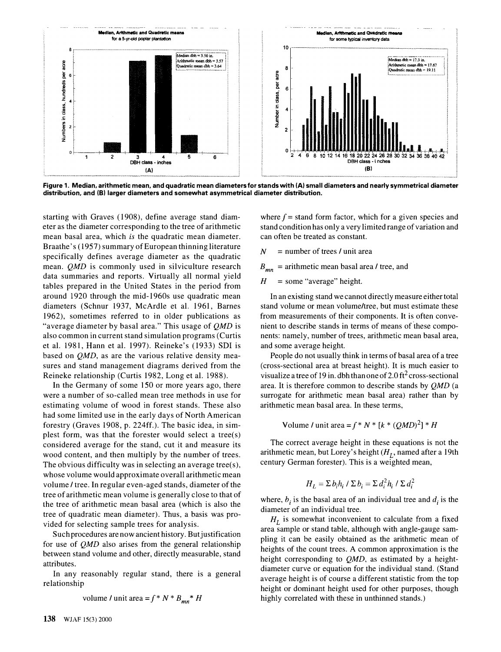

Figure 1. Median, arithmetic mean, and quadratic mean diameters for stands with (A} small diameters and nearly symmetrical diameter distribution, and (B) larger diameters and somewhat asymmetrical diameter distribution.

starting with Graves (1908), define average stand diameter as the diameter corresponding to the tree of arithmetic mean basal area, which is the quadratic mean diameter. Braathe's (1957) summary of European thinning literature specifically defines average diameter as the quadratic mean. *QMD* is commonly used in silviculture research data summaries and reports. Virtually all normal yield tables prepared in the United States in the period from around 1920 through the mid-1960s use quadratic mean diameters (Schnur 1937, McArdle et al. 1961, Barnes 1962), sometimes referred to in older publications as "average diameter by basal area." This usage of  $QMD$  is also common in current stand simulation programs (Curtis et al. 1981, Hann et al. 1997). Reineke's (1933) SDI is based on QMD, as are the various relative density measures and stand management diagrams derived from the Reineke relationship (Curtis 1982, Long et al. 1988).

In the Germany of some 150 or more years ago, there were a number of so-called mean tree methods in use for estimating volume of wood in forest stands. These also had some limited use in the early days of North American forestry (Graves 1908, p. 224ff.). The basic idea, in simplest form, was that the forester would select a tree(s) considered average for the stand, cut it and measure its wood content, and then multiply by the number of trees. The obvious difficulty was in selecting an average tree(s), whose volume would approximate overall arithmetic mean volume / tree. In regular even-aged stands, diameter of the tree of arithmetic mean volume is generally close to that of the tree of arithmetic mean basal area (which is also the tree of quadratic mean diameter). Thus, a basis was provided for selecting sample trees for analysis.

Such procedures are now ancient history. But justification for use of QMD also arises from the general relationship between stand volume and other, directly measurable, stand attributes.

In any reasonably regular stand, there is a general relationship

volume / unit area = 
$$
f * N * B_{mn} * H
$$

where  $f =$  stand form factor, which for a given species and stand condition has only a very limited range of variation and can often be treated as constant.

 $N =$  number of trees / unit area

 $B_{mn}$  = arithmetic mean basal area / tree, and

 $H =$ some "average" height.

In an existing stand we cannot directly measure either total stand volume or mean volume/tree, but must estimate these from measurements of their components. It is often convenient to describe stands in terms of means of these components: namely, number of trees, arithmetic mean basal area, and some average height.

People do not usually think in terms of basal area of a tree ( cross-sectional area at breast height). It is much easier to visualize a tree of 19 in. dbh than one of  $2.0$  ft<sup>2</sup> cross-sectional area. It is therefore common to describe stands by QMD (a surrogate for arithmetic mean basal area) rather than by arithmetic mean basal area. In these terms,

Volume / unit area =  $f * N * [k * (QMD)^2] * H$ 

The correct average height in these equations is not the arithmetic mean, but Lorey's height  $(H<sub>I</sub>)$ , named after a 19th century German forester). This is a weighted mean,

$$
H_L = \sum b_i h_i / \sum b_i = \sum d_i^2 h_i / \sum d_i^2
$$

where,  $b_i$  is the basal area of an individual tree and  $d_i$  is the diameter of an individual tree.

 $H<sub>I</sub>$  is somewhat inconvenient to calculate from a fixed area sample or stand table, although with angle-gauge sampling it can be easily obtained as the arithmetic mean of heights of the count trees. A common approximation is the height corresponding to *QMD*, as estimated by a heightdiameter curve or equation for the individual stand. (Stand average height is of course a different statistic from the top height or dominant height used for other purposes, though highly correlated with these in unthinned stands.)